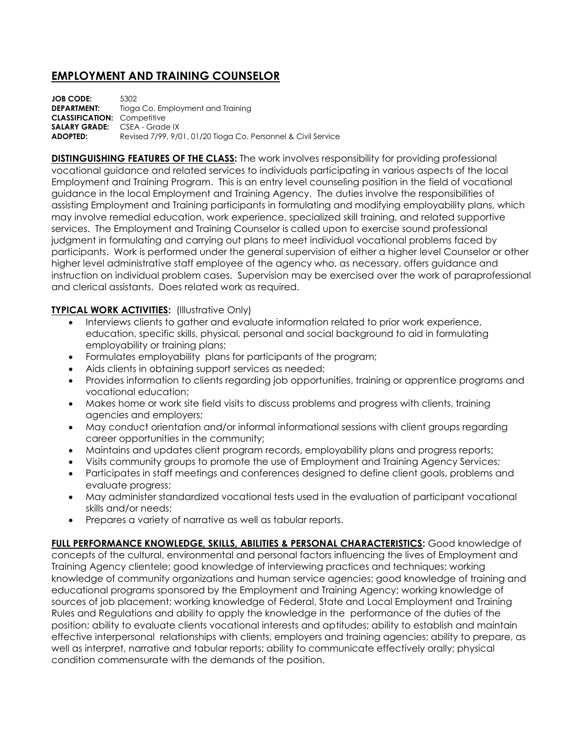## **EMPLOYMENT AND TRAINING COUNSELOR**

**JOB CODE:** 5302 **DEPARTMENT:** Tioga Co. Employment and Training **CLASSIFICATION:** Competitive **SALARY GRADE:** CSEA - Grade IX **ADOPTED:** Revised 7/99, 9/01, 01/20 Tioga Co. Personnel & Civil Service

**DISTINGUISHING FEATURES OF THE CLASS:** The work involves responsibility for providing professional vocational guidance and related services to individuals participating in various aspects of the local Employment and Training Program. This is an entry level counseling position in the field of vocational guidance in the local Employment and Training Agency. The duties involve the responsibilities of assisting Employment and Training participants in formulating and modifying employability plans, which may involve remedial education, work experience, specialized skill training, and related supportive services. The Employment and Training Counselor is called upon to exercise sound professional judgment in formulating and carrying out plans to meet individual vocational problems faced by participants. Work is performed under the general supervision of either a higher level Counselor or other higher level administrative staff employee of the agency who, as necessary, offers guidance and instruction on individual problem cases. Supervision may be exercised over the work of paraprofessional and clerical assistants. Does related work as required.

## **TYPICAL WORK ACTIVITIES: (Illustrative Only)**

- Interviews clients to gather and evaluate information related to prior work experience, education, specific skills, physical, personal and social background to aid in formulating employability or training plans;
- Formulates employability plans for participants of the program;
- Aids clients in obtaining support services as needed;
- Provides information to clients regarding job opportunities, training or apprentice programs and vocational education;
- Makes home or work site field visits to discuss problems and progress with clients, training agencies and employers;
- May conduct orientation and/or informal informational sessions with client groups regarding career opportunities in the community;
- Maintains and updates client program records, employability plans and progress reports;
- Visits community groups to promote the use of Employment and Training Agency Services;
- Participates in staff meetings and conferences designed to define client goals, problems and evaluate progress;
- May administer standardized vocational tests used in the evaluation of participant vocational skills and/or needs;
- Prepares a variety of narrative as well as tabular reports.

FULL PERFORMANCE KNOWLEDGE, SKILLS, ABILITIES & PERSONAL CHARACTERISTICS: Good knowledge of concepts of the cultural, environmental and personal factors influencing the lives of Employment and Training Agency clientele; good knowledge of interviewing practices and techniques; working knowledge of community organizations and human service agencies; good knowledge of training and educational programs sponsored by the Employment and Training Agency; working knowledge of sources of job placement; working knowledge of Federal, State and Local Employment and Training Rules and Regulations and ability to apply the knowledge in the performance of the duties of the position; ability to evaluate clients vocational interests and aptitudes; ability to establish and maintain effective interpersonal relationships with clients, employers and training agencies; ability to prepare, as well as interpret, narrative and tabular reports; ability to communicate effectively orally; physical condition commensurate with the demands of the position.